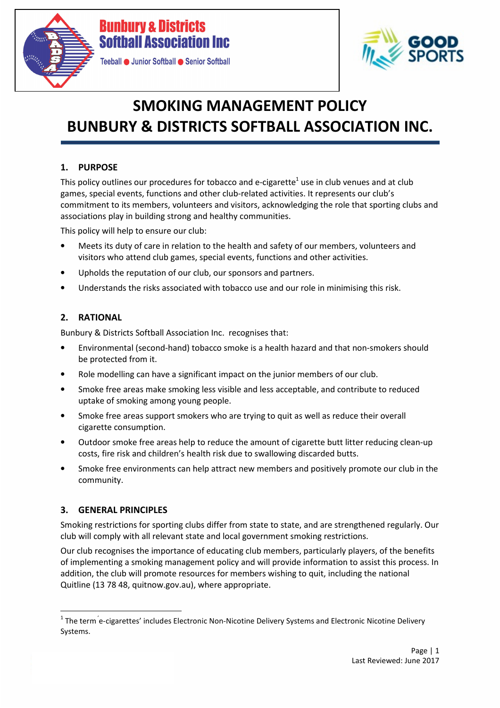



# SMOKING MANAGEMENT POLICY BUNBURY & DISTRICTS SOFTBALL ASSOCIATION INC.

# 1. PURPOSE

This policy outlines our procedures for tobacco and e-cigarette<sup>1</sup> use in club venues and at club games, special events, functions and other club-related activities. It represents our club's commitment to its members, volunteers and visitors, acknowledging the role that sporting clubs and associations play in building strong and healthy communities.

This policy will help to ensure our club:

- Meets its duty of care in relation to the health and safety of our members, volunteers and visitors who attend club games, special events, functions and other activities.
- Upholds the reputation of our club, our sponsors and partners.
- Understands the risks associated with tobacco use and our role in minimising this risk.

## 2. RATIONAL

Bunbury & Districts Softball Association Inc. recognises that:

- Environmental (second-hand) tobacco smoke is a health hazard and that non-smokers should be protected from it.
- Role modelling can have a significant impact on the junior members of our club.
- Smoke free areas make smoking less visible and less acceptable, and contribute to reduced uptake of smoking among young people.
- Smoke free areas support smokers who are trying to quit as well as reduce their overall cigarette consumption.
- Outdoor smoke free areas help to reduce the amount of cigarette butt litter reducing clean-up costs, fire risk and children's health risk due to swallowing discarded butts.
- Smoke free environments can help attract new members and positively promote our club in the community.

## 3. GENERAL PRINCIPLES

l

Smoking restrictions for sporting clubs differ from state to state, and are strengthened regularly. Our club will comply with all relevant state and local government smoking restrictions.

Our club recognises the importance of educating club members, particularly players, of the benefits of implementing a smoking management policy and will provide information to assist this process. In addition, the club will promote resources for members wishing to quit, including the national Quitline (13 78 48, quitnow.gov.au), where appropriate.

 $^1$  The term  $\rm \acute{e}$ -cigarettes' includes Electronic Non-Nicotine Delivery Systems and Electronic Nicotine Delivery Systems.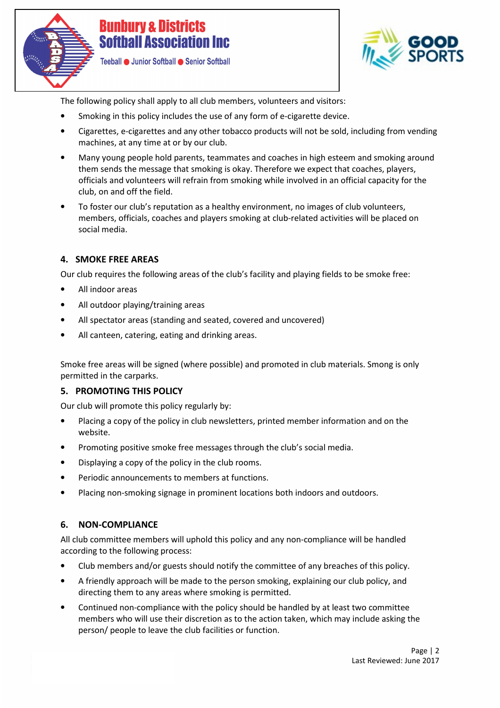



The following policy shall apply to all club members, volunteers and visitors:

- Smoking in this policy includes the use of any form of e-cigarette device.
- Cigarettes, e-cigarettes and any other tobacco products will not be sold, including from vending machines, at any time at or by our club.
- Many young people hold parents, teammates and coaches in high esteem and smoking around them sends the message that smoking is okay. Therefore we expect that coaches, players, officials and volunteers will refrain from smoking while involved in an official capacity for the club, on and off the field.
- To foster our club's reputation as a healthy environment, no images of club volunteers, members, officials, coaches and players smoking at club-related activities will be placed on social media.

## 4. SMOKE FREE AREAS

Our club requires the following areas of the club's facility and playing fields to be smoke free:

- All indoor areas
- All outdoor playing/training areas
- All spectator areas (standing and seated, covered and uncovered)
- All canteen, catering, eating and drinking areas.

Smoke free areas will be signed (where possible) and promoted in club materials. Smong is only permitted in the carparks.

#### 5. PROMOTING THIS POLICY

Our club will promote this policy regularly by:

- Placing a copy of the policy in club newsletters, printed member information and on the website.
- Promoting positive smoke free messages through the club's social media.
- Displaying a copy of the policy in the club rooms.
- Periodic announcements to members at functions.
- Placing non-smoking signage in prominent locations both indoors and outdoors.

#### 6. NON-COMPLIANCE

All club committee members will uphold this policy and any non-compliance will be handled according to the following process:

- Club members and/or guests should notify the committee of any breaches of this policy.
- A friendly approach will be made to the person smoking, explaining our club policy, and directing them to any areas where smoking is permitted.
- Continued non-compliance with the policy should be handled by at least two committee members who will use their discretion as to the action taken, which may include asking the person/ people to leave the club facilities or function.